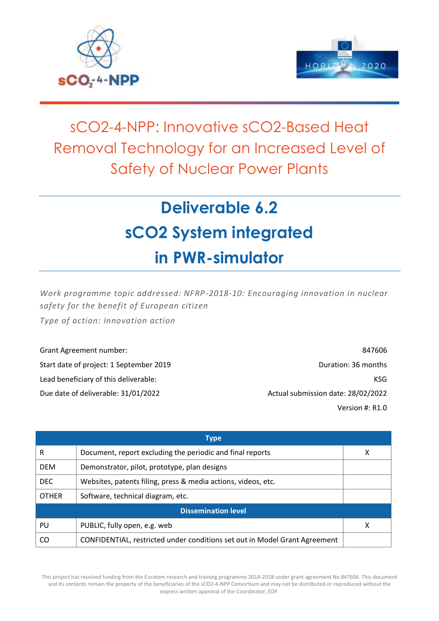



## sCO2-4-NPP: Innovative sCO2-Based Heat Removal Technology for an Increased Level of Safety of Nuclear Power Plants

# **Deliverable 6.2 sCO2 System integrated in PWR-simulator**

*Work programme topic addressed: NFRP-2018-10: Encouraging innovation in nuclear safety for the benefit of European citizen*

*Type of action: Innovation action*

Grant Agreement number: 847606 Start date of project: 1 September 2019 **Duration: 36 months** Duration: 36 months Lead beneficiary of this deliverable: Notifiation and the state of the state of the state of the state of the state of the state of the state of the state of the state of the state of the state of the state of the state of Due date of deliverable: 31/01/2022 Actual submission date: 28/02/2022 Version #: R1.0

| <b>Type</b>                |                                                                            |   |  |
|----------------------------|----------------------------------------------------------------------------|---|--|
| R                          | Document, report excluding the periodic and final reports                  | X |  |
| <b>DEM</b>                 | Demonstrator, pilot, prototype, plan designs                               |   |  |
| DEC.                       | Websites, patents filing, press & media actions, videos, etc.              |   |  |
| <b>OTHER</b>               | Software, technical diagram, etc.                                          |   |  |
| <b>Dissemination level</b> |                                                                            |   |  |
| PU                         | PUBLIC, fully open, e.g. web                                               | X |  |
| CO                         | CONFIDENTIAL, restricted under conditions set out in Model Grant Agreement |   |  |

This project has received funding from the Euratom research and training programme 2014-2018 under grant agreement No 847606. This document and its contents remain the property of the beneficiaries of the sCO2-4-NPP Consortium and may not be distributed or reproduced without the express written approval of the Coordinator, EDF.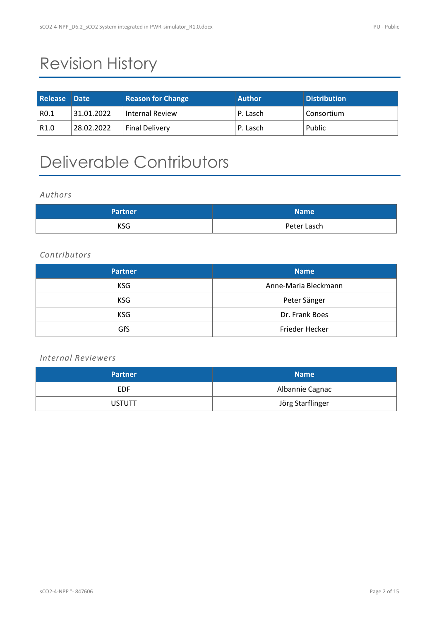## Revision History

| <b>Release Date</b> |            | <b>Reason for Change</b> | <b>Author</b> | <b>Distribution</b> |
|---------------------|------------|--------------------------|---------------|---------------------|
| RO.1                | 31.01.2022 | <b>Internal Review</b>   | P. Lasch      | Consortium          |
| R1.0                | 28.02.2022 | <b>Final Delivery</b>    | P. Lasch      | Public              |

## Deliverable Contributors

*Authors*

| <b>Partner</b> | <b>Name</b> |
|----------------|-------------|
| <b>KSG</b>     | Peter Lasch |

### *Contributors*

| <b>Partner</b> | <b>Name</b>          |
|----------------|----------------------|
| <b>KSG</b>     | Anne-Maria Bleckmann |
| <b>KSG</b>     | Peter Sänger         |
| <b>KSG</b>     | Dr. Frank Boes       |
| GfS            | Frieder Hecker       |

### *Internal Reviewers*

| <b>Partner</b> | <b>Name</b>      |
|----------------|------------------|
| <b>EDF</b>     | Albannie Cagnac  |
| <b>USTUTT</b>  | Jörg Starflinger |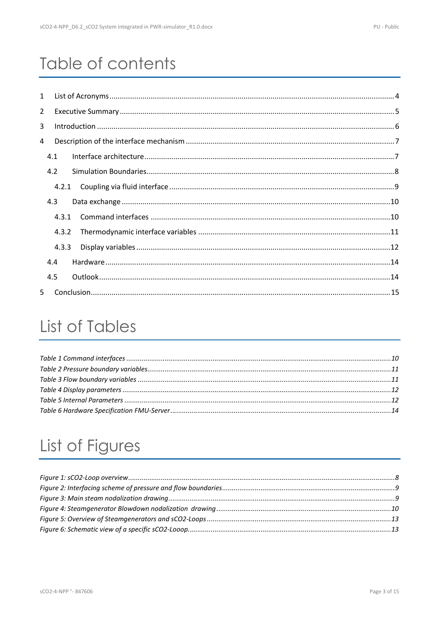## Table of contents

| 1              |       |  |
|----------------|-------|--|
| $\overline{2}$ |       |  |
| 3              |       |  |
| 4              |       |  |
|                | 4.1   |  |
|                | 4.2   |  |
|                | 4.2.1 |  |
|                | 4.3   |  |
|                | 4.3.1 |  |
|                | 4.3.2 |  |
|                | 4.3.3 |  |
|                | 4.4   |  |
|                | 4.5   |  |
| $5 -$          |       |  |

## List of Tables

## List of Figures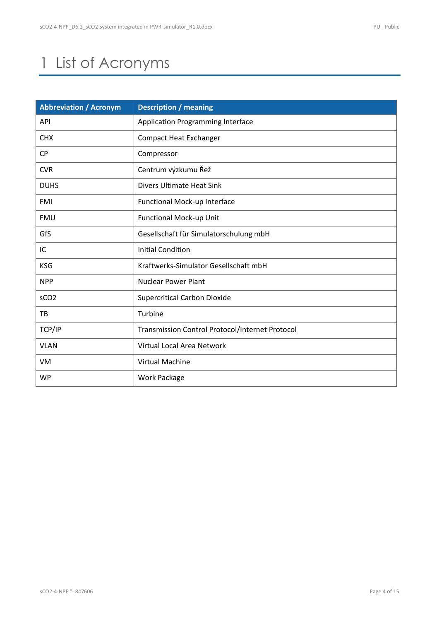## <span id="page-3-0"></span>1 List of Acronyms

| <b>Abbreviation / Acronym</b> | <b>Description / meaning</b>                           |
|-------------------------------|--------------------------------------------------------|
| <b>API</b>                    | Application Programming Interface                      |
| <b>CHX</b>                    | <b>Compact Heat Exchanger</b>                          |
| <b>CP</b>                     | Compressor                                             |
| <b>CVR</b>                    | Centrum výzkumu Řež                                    |
| <b>DUHS</b>                   | <b>Divers Ultimate Heat Sink</b>                       |
| <b>FMI</b>                    | Functional Mock-up Interface                           |
| <b>FMU</b>                    | <b>Functional Mock-up Unit</b>                         |
| GfS                           | Gesellschaft für Simulatorschulung mbH                 |
| IC                            | <b>Initial Condition</b>                               |
| <b>KSG</b>                    | Kraftwerks-Simulator Gesellschaft mbH                  |
| <b>NPP</b>                    | <b>Nuclear Power Plant</b>                             |
| sCO <sub>2</sub>              | <b>Supercritical Carbon Dioxide</b>                    |
| TB                            | Turbine                                                |
| TCP/IP                        | <b>Transmission Control Protocol/Internet Protocol</b> |
| <b>VLAN</b>                   | Virtual Local Area Network                             |
| VM                            | Virtual Machine                                        |
| <b>WP</b>                     | <b>Work Package</b>                                    |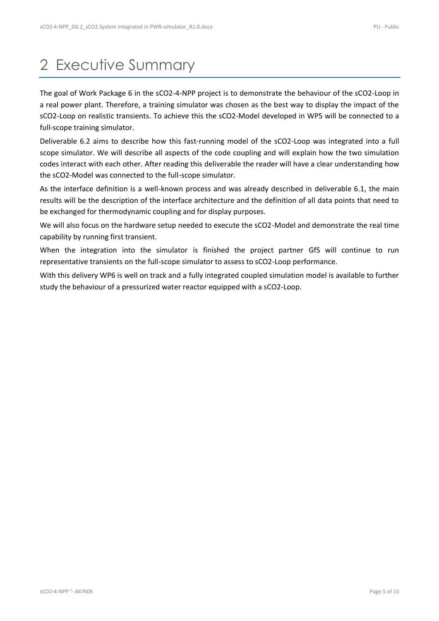## <span id="page-4-0"></span>2 Executive Summary

The goal of Work Package 6 in the sCO2-4-NPP project is to demonstrate the behaviour of the sCO2-Loop in a real power plant. Therefore, a training simulator was chosen as the best way to display the impact of the sCO2-Loop on realistic transients. To achieve this the sCO2-Model developed in WP5 will be connected to a full-scope training simulator.

Deliverable 6.2 aims to describe how this fast-running model of the sCO2-Loop was integrated into a full scope simulator. We will describe all aspects of the code coupling and will explain how the two simulation codes interact with each other. After reading this deliverable the reader will have a clear understanding how the sCO2-Model was connected to the full-scope simulator.

As the interface definition is a well-known process and was already described in deliverable 6.1, the main results will be the description of the interface architecture and the definition of all data points that need to be exchanged for thermodynamic coupling and for display purposes.

We will also focus on the hardware setup needed to execute the sCO2-Model and demonstrate the real time capability by running first transient.

When the integration into the simulator is finished the project partner GfS will continue to run representative transients on the full-scope simulator to assess to sCO2-Loop performance.

With this delivery WP6 is well on track and a fully integrated coupled simulation model is available to further study the behaviour of a pressurized water reactor equipped with a sCO2-Loop.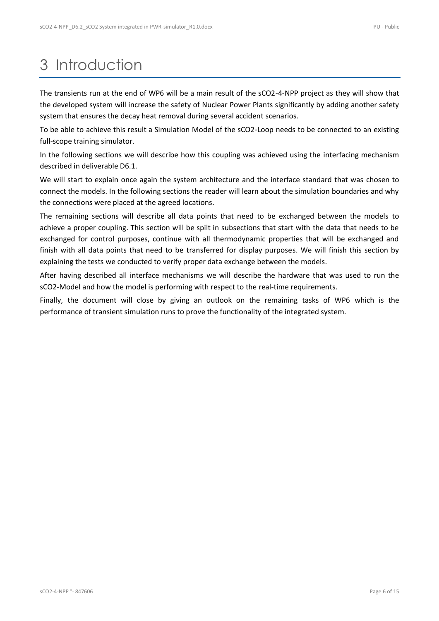## <span id="page-5-0"></span>3 Introduction

The transients run at the end of WP6 will be a main result of the sCO2-4-NPP project as they will show that the developed system will increase the safety of Nuclear Power Plants significantly by adding another safety system that ensures the decay heat removal during several accident scenarios.

To be able to achieve this result a Simulation Model of the sCO2-Loop needs to be connected to an existing full-scope training simulator.

In the following sections we will describe how this coupling was achieved using the interfacing mechanism described in deliverable D6.1.

We will start to explain once again the system architecture and the interface standard that was chosen to connect the models. In the following sections the reader will learn about the simulation boundaries and why the connections were placed at the agreed locations.

The remaining sections will describe all data points that need to be exchanged between the models to achieve a proper coupling. This section will be spilt in subsections that start with the data that needs to be exchanged for control purposes, continue with all thermodynamic properties that will be exchanged and finish with all data points that need to be transferred for display purposes. We will finish this section by explaining the tests we conducted to verify proper data exchange between the models.

After having described all interface mechanisms we will describe the hardware that was used to run the sCO2-Model and how the model is performing with respect to the real-time requirements.

Finally, the document will close by giving an outlook on the remaining tasks of WP6 which is the performance of transient simulation runs to prove the functionality of the integrated system.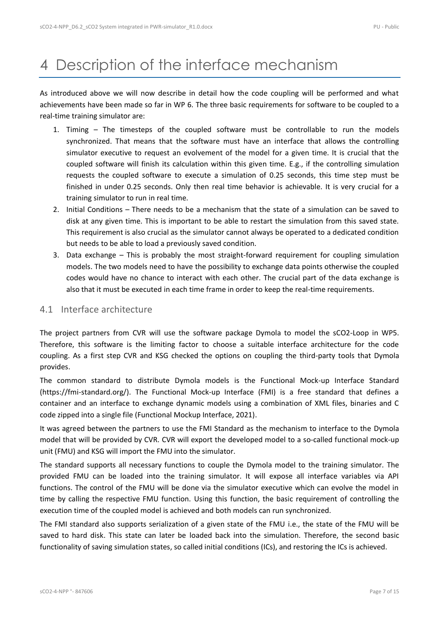## <span id="page-6-0"></span>4 Description of the interface mechanism

As introduced above we will now describe in detail how the code coupling will be performed and what achievements have been made so far in WP 6. The three basic requirements for software to be coupled to a real-time training simulator are:

- 1. Timing The timesteps of the coupled software must be controllable to run the models synchronized. That means that the software must have an interface that allows the controlling simulator executive to request an evolvement of the model for a given time. It is crucial that the coupled software will finish its calculation within this given time. E.g., if the controlling simulation requests the coupled software to execute a simulation of 0.25 seconds, this time step must be finished in under 0.25 seconds. Only then real time behavior is achievable. It is very crucial for a training simulator to run in real time.
- 2. Initial Conditions There needs to be a mechanism that the state of a simulation can be saved to disk at any given time. This is important to be able to restart the simulation from this saved state. This requirement is also crucial as the simulator cannot always be operated to a dedicated condition but needs to be able to load a previously saved condition.
- 3. Data exchange This is probably the most straight-forward requirement for coupling simulation models. The two models need to have the possibility to exchange data points otherwise the coupled codes would have no chance to interact with each other. The crucial part of the data exchange is also that it must be executed in each time frame in order to keep the real-time requirements.

### <span id="page-6-1"></span>4.1 Interface architecture

The project partners from CVR will use the software package Dymola to model the sCO2-Loop in WP5. Therefore, this software is the limiting factor to choose a suitable interface architecture for the code coupling. As a first step CVR and KSG checked the options on coupling the third-party tools that Dymola provides.

The common standard to distribute Dymola models is the Functional Mock-up Interface Standard (https://fmi-standard.org/). The Functional Mock-up Interface (FMI) is a free standard that defines a container and an interface to exchange dynamic models using a combination of XML files, binaries and C code zipped into a single file (Functional Mockup Interface, 2021).

It was agreed between the partners to use the FMI Standard as the mechanism to interface to the Dymola model that will be provided by CVR. CVR will export the developed model to a so-called functional mock-up unit (FMU) and KSG will import the FMU into the simulator.

The standard supports all necessary functions to couple the Dymola model to the training simulator. The provided FMU can be loaded into the training simulator. It will expose all interface variables via API functions. The control of the FMU will be done via the simulator executive which can evolve the model in time by calling the respective FMU function. Using this function, the basic requirement of controlling the execution time of the coupled model is achieved and both models can run synchronized.

The FMI standard also supports serialization of a given state of the FMU i.e., the state of the FMU will be saved to hard disk. This state can later be loaded back into the simulation. Therefore, the second basic functionality of saving simulation states, so called initial conditions (ICs), and restoring the ICs is achieved.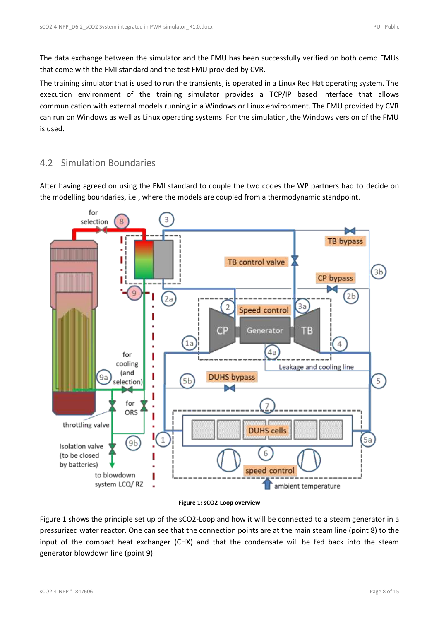The data exchange between the simulator and the FMU has been successfully verified on both demo FMUs that come with the FMI standard and the test FMU provided by CVR.

The training simulator that is used to run the transients, is operated in a Linux Red Hat operating system. The execution environment of the training simulator provides a TCP/IP based interface that allows communication with external models running in a Windows or Linux environment. The FMU provided by CVR can run on Windows as well as Linux operating systems. For the simulation, the Windows version of the FMU is used.

## <span id="page-7-0"></span>4.2 Simulation Boundaries

After having agreed on using the FMI standard to couple the two codes the WP partners had to decide on the modelling boundaries, i.e., where the models are coupled from a thermodynamic standpoint.



#### **Figure 1: sCO2-Loop overview**

<span id="page-7-1"></span>[Figure 1](#page-7-1) shows the principle set up of the sCO2-Loop and how it will be connected to a steam generator in a pressurized water reactor. One can see that the connection points are at the main steam line (point 8) to the input of the compact heat exchanger (CHX) and that the condensate will be fed back into the steam generator blowdown line (point 9).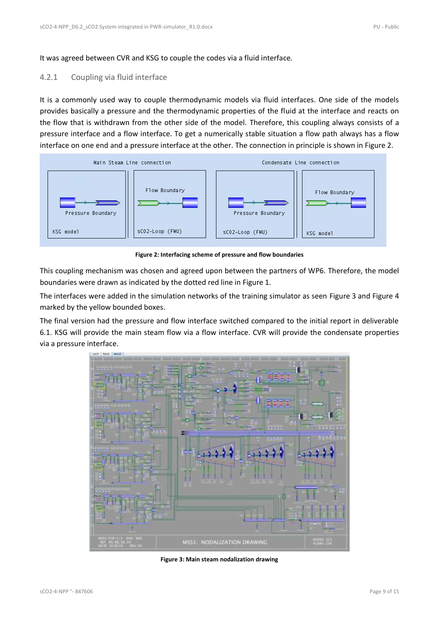It was agreed between CVR and KSG to couple the codes via a fluid interface.

### <span id="page-8-0"></span>4.2.1 Coupling via fluid interface

It is a commonly used way to couple thermodynamic models via fluid interfaces. One side of the models provides basically a pressure and the thermodynamic properties of the fluid at the interface and reacts on the flow that is withdrawn from the other side of the model. Therefore, this coupling always consists of a pressure interface and a flow interface. To get a numerically stable situation a flow path always has a flow interface on one end and a pressure interface at the other. The connection in principle is shown in [Figure 2.](#page-8-1)



**Figure 2: Interfacing scheme of pressure and flow boundaries**

<span id="page-8-1"></span>This coupling mechanism was chosen and agreed upon between the partners of WP6. Therefore, the model boundaries were drawn as indicated by the dotted red line in Figure 1.

The interfaces were added in the simulation networks of the training simulator as seen [Figure 3](#page-8-2) and [Figure 4](#page-9-3) marked by the yellow bounded boxes.

The final version had the pressure and flow interface switched compared to the initial report in deliverable 6.1. KSG will provide the main steam flow via a flow interface. CVR will provide the condensate properties via a pressure interface.



<span id="page-8-2"></span>**Figure 3: Main steam nodalization drawing**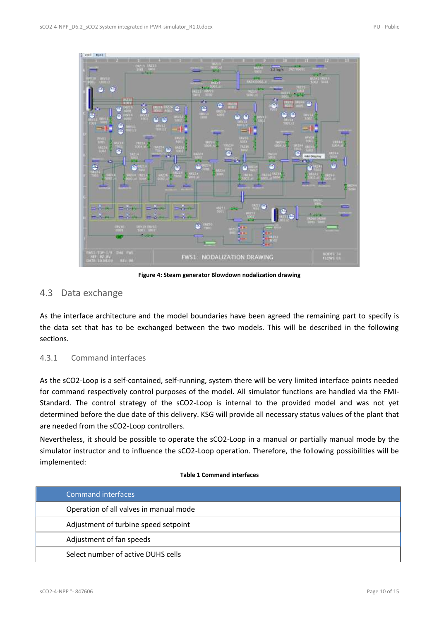

**Figure 4: Steam generator Blowdown nodalization drawing**

### <span id="page-9-3"></span><span id="page-9-0"></span>4.3 Data exchange

As the interface architecture and the model boundaries have been agreed the remaining part to specify is the data set that has to be exchanged between the two models. This will be described in the following sections.

### <span id="page-9-1"></span>4.3.1 Command interfaces

As the sCO2-Loop is a self-contained, self-running, system there will be very limited interface points needed for command respectively control purposes of the model. All simulator functions are handled via the FMI-Standard. The control strategy of the sCO2-Loop is internal to the provided model and was not yet determined before the due date of this delivery. KSG will provide all necessary status values of the plant that are needed from the sCO2-Loop controllers.

Nevertheless, it should be possible to operate the sCO2-Loop in a manual or partially manual mode by the simulator instructor and to influence the sCO2-Loop operation. Therefore, the following possibilities will be implemented:

### **Table 1 Command interfaces**

<span id="page-9-2"></span>

| Command interfaces                     |
|----------------------------------------|
| Operation of all valves in manual mode |
| Adjustment of turbine speed setpoint   |
| Adjustment of fan speeds               |
| Select number of active DUHS cells     |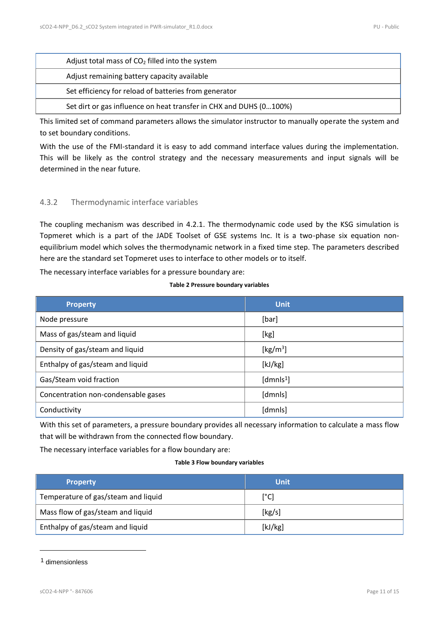| Adjust total mass of $CO2$ filled into the system                  |
|--------------------------------------------------------------------|
| Adjust remaining battery capacity available                        |
| Set efficiency for reload of batteries from generator              |
| Set dirt or gas influence on heat transfer in CHX and DUHS (0100%) |

This limited set of command parameters allows the simulator instructor to manually operate the system and to set boundary conditions.

With the use of the FMI-standard it is easy to add command interface values during the implementation. This will be likely as the control strategy and the necessary measurements and input signals will be determined in the near future.

### <span id="page-10-0"></span>4.3.2 Thermodynamic interface variables

The coupling mechanism was described in [4.2.1.](#page-8-0) The thermodynamic code used by the KSG simulation is Topmeret which is a part of the JADE Toolset of GSE systems Inc. It is a two-phase six equation nonequilibrium model which solves the thermodynamic network in a fixed time step. The parameters described here are the standard set Topmeret uses to interface to other models or to itself.

<span id="page-10-1"></span>The necessary interface variables for a pressure boundary are:

#### **Table 2 Pressure boundary variables**

| <b>Property</b>                     | <b>Unit</b>           |
|-------------------------------------|-----------------------|
| Node pressure                       | [bar]                 |
| Mass of gas/steam and liquid        | [kg]                  |
| Density of gas/steam and liquid     | [kg/m <sup>3</sup> ]  |
| Enthalpy of gas/steam and liquid    | [kJ/kg]               |
| Gas/Steam void fraction             | [dmnls <sup>1</sup> ] |
| Concentration non-condensable gases | [dmnls]               |
| Conductivity                        | [dmnls]               |

With this set of parameters, a pressure boundary provides all necessary information to calculate a mass flow that will be withdrawn from the connected flow boundary.

<span id="page-10-2"></span>The necessary interface variables for a flow boundary are:

#### **Table 3 Flow boundary variables**

| <b>Property</b>                     | <b>Unit</b>   |
|-------------------------------------|---------------|
| Temperature of gas/steam and liquid | $[^{\circ}C]$ |
| Mass flow of gas/steam and liquid   | [kg/s]        |
| Enthalpy of gas/steam and liquid    | [kJ/kg]       |

<sup>1</sup> dimensionless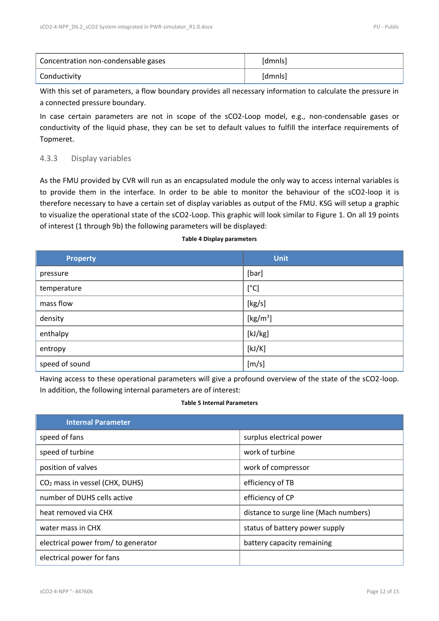| Concentration non-condensable gases | [dmnls] |  |
|-------------------------------------|---------|--|
| Conductivity                        | [dmnls] |  |

With this set of parameters, a flow boundary provides all necessary information to calculate the pressure in a connected pressure boundary.

In case certain parameters are not in scope of the sCO2-Loop model, e.g., non-condensable gases or conductivity of the liquid phase, they can be set to default values to fulfill the interface requirements of Topmeret.

### <span id="page-11-0"></span>4.3.3 Display variables

As the FMU provided by CVR will run as an encapsulated module the only way to access internal variables is to provide them in the interface. In order to be able to monitor the behaviour of the sCO2-loop it is therefore necessary to have a certain set of display variables as output of the FMU. KSG will setup a graphic to visualize the operational state of the sCO2-Loop. This graphic will look similar to Figure 1. On all 19 points of interest (1 through 9b) the following parameters will be displayed:

### **Table 4 Display parameters**

<span id="page-11-1"></span>

| <b>Property</b> | <b>Unit</b>         |
|-----------------|---------------------|
| pressure        | [bar]               |
| temperature     | [°C]                |
| mass flow       | [kg/s]              |
| density         | [ $\text{kg/m}^3$ ] |
| enthalpy        | [kJ/kg]             |
| entropy         | [kJ/K]              |
| speed of sound  | [m/s]               |

Having access to these operational parameters will give a profound overview of the state of the sCO2-loop. In addition, the following internal parameters are of interest:

#### **Table 5 Internal Parameters**

<span id="page-11-2"></span>

| <b>Internal Parameter</b>                  |                                       |
|--------------------------------------------|---------------------------------------|
| speed of fans                              | surplus electrical power              |
| speed of turbine                           | work of turbine                       |
| position of valves                         | work of compressor                    |
| CO <sub>2</sub> mass in vessel (CHX, DUHS) | efficiency of TB                      |
| number of DUHS cells active                | efficiency of CP                      |
| heat removed via CHX                       | distance to surge line (Mach numbers) |
| water mass in CHX                          | status of battery power supply        |
| electrical power from/ to generator        | battery capacity remaining            |
| electrical power for fans                  |                                       |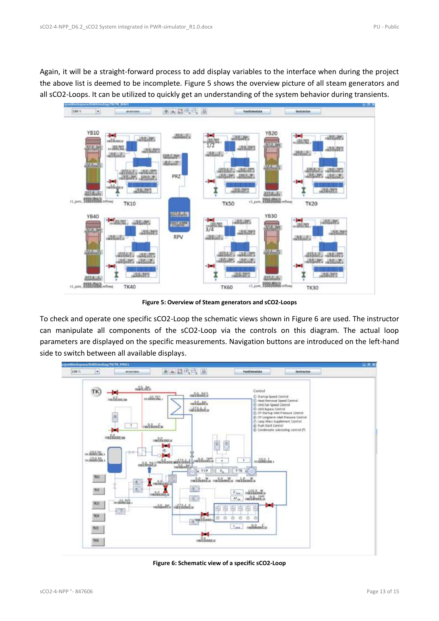Again, it will be a straight-forward process to add display variables to the interface when during the project the above list is deemed to be incomplete. [Figure 5](#page-12-0) shows the overview picture of all steam generators and all sCO2-Loops. It can be utilized to quickly get an understanding of the system behavior during transients.



**Figure 5: Overview of Steam generators and sCO2-Loops**

<span id="page-12-0"></span>To check and operate one specific sCO2-Loop the schematic views shown i[n Figure 6](#page-12-1) are used. The instructor can manipulate all components of the sCO2-Loop via the controls on this diagram. The actual loop parameters are displayed on the specific measurements. Navigation buttons are introduced on the left-hand side to switch between all available displays.



<span id="page-12-1"></span>**Figure 6: Schematic view of a specific sCO2-Loop**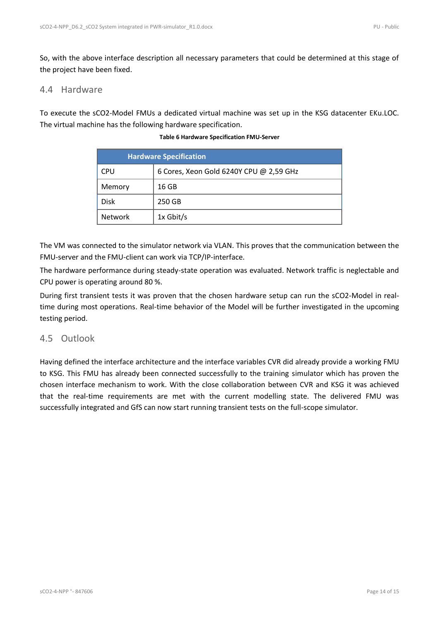So, with the above interface description all necessary parameters that could be determined at this stage of the project have been fixed.

### <span id="page-13-0"></span>4.4 Hardware

<span id="page-13-2"></span>To execute the sCO2-Model FMUs a dedicated virtual machine was set up in the KSG datacenter EKu.LOC. The virtual machine has the following hardware specification.

**Table 6 Hardware Specification FMU-Server**

| <b>Hardware Specification</b> |                                         |
|-------------------------------|-----------------------------------------|
| CPU                           | 6 Cores, Xeon Gold 6240Y CPU @ 2,59 GHz |
| Memory                        | 16 GB                                   |
| <b>Disk</b>                   | 250 GB                                  |
| <b>Network</b>                | 1x Gbit/s                               |

The VM was connected to the simulator network via VLAN. This proves that the communication between the FMU-server and the FMU-client can work via TCP/IP-interface.

The hardware performance during steady-state operation was evaluated. Network traffic is neglectable and CPU power is operating around 80 %.

During first transient tests it was proven that the chosen hardware setup can run the sCO2-Model in realtime during most operations. Real-time behavior of the Model will be further investigated in the upcoming testing period.

## <span id="page-13-1"></span>4.5 Outlook

Having defined the interface architecture and the interface variables CVR did already provide a working FMU to KSG. This FMU has already been connected successfully to the training simulator which has proven the chosen interface mechanism to work. With the close collaboration between CVR and KSG it was achieved that the real-time requirements are met with the current modelling state. The delivered FMU was successfully integrated and GfS can now start running transient tests on the full-scope simulator.